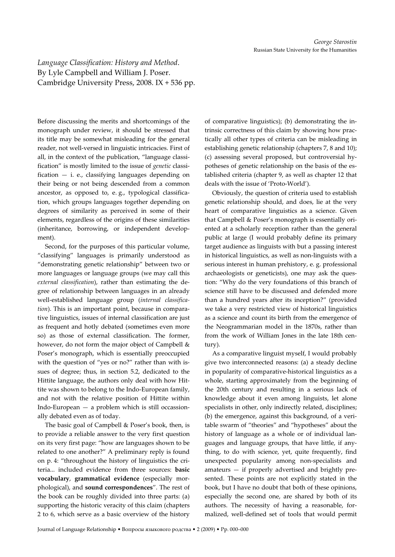## Language Classification: History and Method. By Lyle Campbell and William J. Poser. Cambridge University Press, 2008. IX + 536 pp.

Before discussing the merits and shortcomings of the monograph under review, it should be stressed that its title may be somewhat misleading for the general reader, not well-versed in linguistic intricacies. First of all, in the context of the publication, "language classification" is mostly limited to the issue of genetic classification  $-$  i. e., classifying languages depending on their being or not being descended from a common ancestor, as opposed to, e. g., typological classification, which groups languages together depending on degrees of similarity as perceived in some of their elements, regardless of the origins of these similarities (inheritance, borrowing, or independent development).

Second, for the purposes of this particular volume, "classifying" languages is primarily understood as "demonstrating genetic relationship" between two or more languages or language groups (we may call this external classification), rather than estimating the degree of relationship between languages in an already well-established language group (internal classification). This is an important point, because in comparative linguistics, issues of internal classification are just as frequent and hotly debated (sometimes even more so) as those of external classification. The former, however, do not form the major object of Campbell & Poser's monograph, which is essentially preoccupied with the question of "yes or no?" rather than with issues of degree; thus, in section 5.2, dedicated to the Hittite language, the authors only deal with how Hittite was shown to belong to the Indo-European family, and not with the relative position of Hittite within Indo-European — a problem which is still occassionally debated even as of today.

The basic goal of Campbell & Poser's book, then, is to provide a reliable answer to the very first question on its very first page: "how are languages shown to be related to one another?" A preliminary reply is found on p. 4: "throughout the history of linguistics the criteria... included evidence from three sources: basic vocabulary, grammatical evidence (especially morphological), and sound correspondences". The rest of the book can be roughly divided into three parts: (a) supporting the historic veracity of this claim (chapters 2 to 6, which serve as a basic overview of the history

of comparative linguistics); (b) demonstrating the intrinsic correctness of this claim by showing how practically all other types of criteria can be misleading in establishing genetic relationship (chapters 7, 8 and 10); (c) assessing several proposed, but controversial hypotheses of genetic relationship on the basis of the established criteria (chapter 9, as well as chapter 12 that deals with the issue of 'Proto-World').

Obviously, the question of criteria used to establish genetic relationship should, and does, lie at the very heart of comparative linguistics as a science. Given that Campbell & Poser's monograph is essentially oriented at a scholarly reception rather than the general public at large (I would probably define its primary target audience as linguists with but a passing interest in historical linguistics, as well as non-linguists with a serious interest in human prehistory, e. g. professional archaeologists or geneticists), one may ask the question: "Why do the very foundations of this branch of science still have to be discussed and defended more than a hundred years after its inception?" (provided we take a very restricted view of historical linguistics as a science and count its birth from the emergence of the Neogrammarian model in the 1870s, rather than from the work of William Jones in the late 18th century).

As a comparative linguist myself, I would probably give two interconnected reasons: (a) a steady decline in popularity of comparative-historical linguistics as a whole, starting approximately from the beginning of the 20th century and resulting in a serious lack of knowledge about it even among linguists, let alone specialists in other, only indirectly related, disciplines; (b) the emergence, against this background, of a veritable swarm of "theories" and "hypotheses" about the history of language as a whole or of individual languages and language groups, that have little, if anything, to do with science, yet, quite frequently, find unexpected popularity among non-specialists and amateurs — if properly advertised and brightly presented. These points are not explicitly stated in the book, but I have no doubt that both of these opinions, especially the second one, are shared by both of its authors. The necessity of having a reasonable, formalized, well-defined set of tools that would permit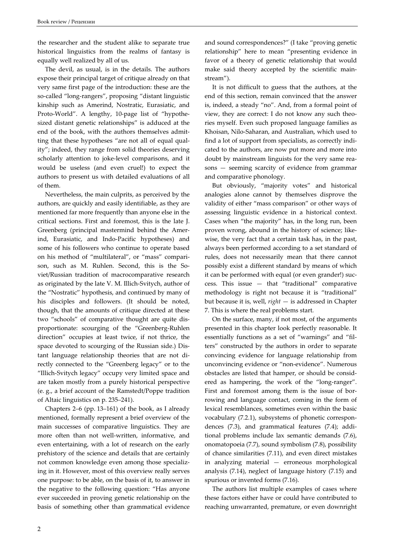the researcher and the student alike to separate true historical linguistics from the realms of fantasy is equally well realized by all of us.

The devil, as usual, is in the details. The authors expose their principal target of critique already on that very same first page of the introduction: these are the so-called "long-rangers", proposing "distant linguistic kinship such as Amerind, Nostratic, Eurasiatic, and Proto-World". A lengthy, 10-page list of "hypothesized distant genetic relationships" is adduced at the end of the book, with the authors themselves admitting that these hypotheses "are not all of equal quality"; indeed, they range from solid theories deserving scholarly attention to joke-level comparisons, and it would be useless (and even cruel!) to expect the authors to present us with detailed evaluations of all of them.

Nevertheless, the main culprits, as perceived by the authors, are quickly and easily identifiable, as they are mentioned far more frequently than anyone else in the critical sections. First and foremost, this is the late J. Greenberg (principal mastermind behind the Amerind, Eurasiatic, and Indo-Pacific hypotheses) and some of his followers who continue to operate based on his method of "multilateral", or "mass" comparison, such as M. Ruhlen. Second, this is the Soviet/Russian tradition of macrocomparative research as originated by the late V. M. Illich-Svitych, author of the "Nostratic" hypothesis, and continued by many of his disciples and followers. (It should be noted, though, that the amounts of critique directed at these two "schools" of comparative thought are quite disproportionate: scourging of the "Greenberg-Ruhlen direction" occupies at least twice, if not thrice, the space devoted to scourging of the Russian side.) Distant language relationship theories that are not directly connected to the "Greenberg legacy" or to the "Illich-Svitych legacy" occupy very limited space and are taken mostly from a purely historical perspective (e. g., a brief account of the Ramstedt/Poppe tradition of Altaic linguistics on p. 235–241).

Chapters 2–6 (pp. 13–161) of the book, as I already mentioned, formally represent a brief overview of the main successes of comparative linguistics. They are more often than not well-written, informative, and even entertaining, with a lot of research on the early prehistory of the science and details that are certainly not common knowledge even among those specializing in it. However, most of this overview really serves one purpose: to be able, on the basis of it, to answer in the negative to the following question: "Has anyone ever succeeded in proving genetic relationship on the basis of something other than grammatical evidence

and sound correspondences?" (I take "proving genetic relationship" here to mean "presenting evidence in favor of a theory of genetic relationship that would make said theory accepted by the scientific mainstream").

It is not difficult to guess that the authors, at the end of this section, remain convinced that the answer is, indeed, a steady "no". And, from a formal point of view, they are correct: I do not know any such theories myself. Even such proposed language families as Khoisan, Nilo-Saharan, and Australian, which used to find a lot of support from specialists, as correctly indicated to the authors, are now put more and more into doubt by mainstream linguists for the very same reasons — seeming scarcity of evidence from grammar and comparative phonology.

But obviously, "majority votes" and historical analogies alone cannot by themselves disprove the validity of either "mass comparison" or other ways of assessing linguistic evidence in a historical context. Cases when "the majority" has, in the long run, been proven wrong, abound in the history of science; likewise, the very fact that a certain task has, in the past, always been performed according to a set standard of rules, does not necessarily mean that there cannot possibly exist a different standard by means of which it can be performed with equal (or even grander!) success. This issue — that "traditional" comparative methodology is right not because it is "traditional" but because it is, well,  $right$  – is addressed in Chapter 7. This is where the real problems start.

On the surface, many, if not most, of the arguments presented in this chapter look perfectly reasonable. It essentially functions as a set of "warnings" and "filters" constructed by the authors in order to separate convincing evidence for language relationship from unconvincing evidence or "non-evidence". Numerous obstacles are listed that hamper, or should be considered as hampering, the work of the "long-ranger". First and foremost among them is the issue of borrowing and language contact, coming in the form of lexical resemblances, sometimes even within the basic vocabulary (7.2.1), subsystems of phonetic correspondences (7.3), and grammatical features (7.4); additional problems include lax semantic demands (7.6), onomatopoeia (7.7), sound symbolism (7.8), possibility of chance similarities (7.11), and even direct mistakes in analyzing material — erroneous morphological analysis (7.14), neglect of language history (7.15) and spurious or invented forms (7.16).

The authors list multiple examples of cases where these factors either have or could have contributed to reaching unwarranted, premature, or even downright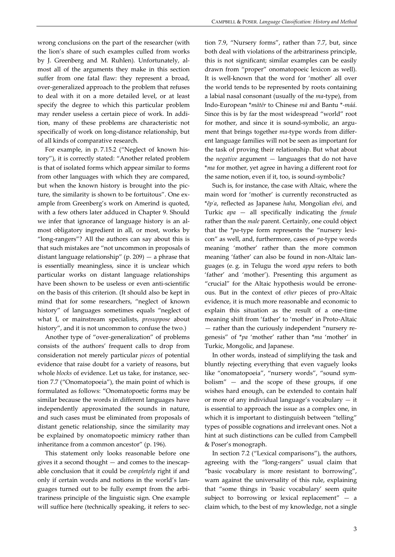wrong conclusions on the part of the researcher (with the lion's share of such examples culled from works by J. Greenberg and M. Ruhlen). Unfortunately, almost all of the arguments they make in this section suffer from one fatal flaw: they represent a broad, over-generalized approach to the problem that refuses to deal with it on a more detailed level, or at least specify the degree to which this particular problem may render useless a certain piece of work. In addition, many of these problems are characteristic not specifically of work on long-distance relationship, but of all kinds of comparative research.

For example, in p. 7.15.2 ("Neglect of known history"), it is correctly stated: "Another related problem is that of isolated forms which appear similar to forms from other languages with which they are compared, but when the known history is brought into the picture, the similarity is shown to be fortuitous". One example from Greenberg's work on Amerind is quoted, with a few others later adduced in Chapter 9. Should we infer that ignorance of language history is an almost obligatory ingredient in all, or most, works by "long-rangers"? All the authors can say about this is that such mistakes are "not uncommon in proposals of distant language relationship" (p. 209) — a phrase that is essentially meaningless, since it is unclear which particular works on distant language relationships have been shown to be useless or even anti-scientific on the basis of this criterion. (It should also be kept in mind that for some researchers, "neglect of known history" of languages sometimes equals "neglect of what I, or mainstream specialists, presuppose about history", and it is not uncommon to confuse the two.)

Another type of "over-generalization" of problems consists of the authors' frequent calls to drop from consideration not merely particular pieces of potential evidence that raise doubt for a variety of reasons, but whole blocks of evidence. Let us take, for instance, section 7.7 ("Onomatopoeia"), the main point of which is formulated as follows: "Onomatopoetic forms may be similar because the words in different languages have independently approximated the sounds in nature, and such cases must be eliminated from proposals of distant genetic relationship, since the similarity may be explained by onomatopoetic mimicry rather than inheritance from a common ancestor" (p. 196).

This statement only looks reasonable before one gives it a second thought — and comes to the inescapable conclusion that it could be completely right if and only if certain words and notions in the world's languages turned out to be fully exempt from the arbitrariness principle of the linguistic sign. One example will suffice here (technically speaking, it refers to section 7.9, "Nursery forms", rather than 7.7, but, since both deal with violations of the arbitrariness principle, this is not significant; similar examples can be easily drawn from "proper" onomatopoeic lexicon as well). It is well-known that the word for 'mother' all over the world tends to be represented by roots containing a labial nasal consonant (usually of the ma-type), from Indo-European \*mātēr to Chinese mā and Bantu \*-máá. Since this is by far the most widespread "world" root for mother, and since it is sound-symbolic, an argument that brings together ma-type words from different language families will not be seen as important for the task of proving their relationship. But what about the *negative* argument  $-$  languages that do not have \*ma for mother, yet agree in having a different root for the same notion, even if it, too, is sound-symbolic?

Such is, for instance, the case with Altaic, where the main word for 'mother' is currently reconstructed as \*ĕp῾a, reflected as Japanese haha, Mongolian ebei, and Turkic apa — all specifically indicating the female rather than the male parent. Certainly, one could object that the \*pa-type form represents the "nursery lexicon" as well, and, furthermore, cases of pa-type words meaning 'mother' rather than the more common meaning 'father' can also be found in non-Altaic languages (e. g. in Telugu the word appa refers to both 'father' and 'mother'). Presenting this argument as "crucial" for the Altaic hypothesis would be erroneous. But in the context of other pieces of pro-Altaic evidence, it is much more reasonable and economic to explain this situation as the result of a one-time meaning shift from 'father' to 'mother' in Proto-Altaic — rather than the curiously independent "nursery regenesis" of \*pa 'mother' rather than \*ma 'mother' in Turkic, Mongolic, and Japanese.

In other words, instead of simplifying the task and bluntly rejecting everything that even vaguely looks like "onomatopoeia", "nursery words", "sound symbolism"  $-$  and the scope of these groups, if one wishes hard enough, can be extended to contain half or more of any individual language's vocabulary — it is essential to approach the issue as a complex one, in which it is important to distinguish between "telling" types of possible cognations and irrelevant ones. Not a hint at such distinctions can be culled from Campbell & Poser's monograph.

In section 7.2 ("Lexical comparisons"), the authors, agreeing with the "long-rangers" usual claim that "basic vocabulary is more resistant to borrowing", warn against the universality of this rule, explaining that "some things in 'basic vocabulary' seem quite subject to borrowing or lexical replacement" — a claim which, to the best of my knowledge, not a single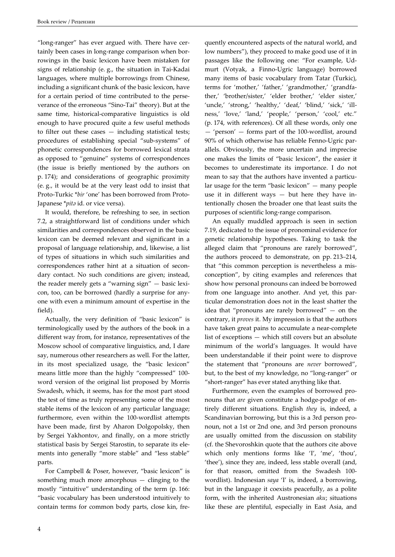"long-ranger" has ever argued with. There have certainly been cases in long-range comparison when borrowings in the basic lexicon have been mistaken for signs of relationship (e. g., the situation in Tai-Kadai languages, where multiple borrowings from Chinese, including a significant chunk of the basic lexicon, have for a certain period of time contributed to the perseverance of the erroneous "Sino-Tai" theory). But at the same time, historical-comparative linguistics is old enough to have procured quite a few useful methods to filter out these cases — including statistical tests; procedures of establishing special "sub-systems" of phonetic correspondences for borrowed lexical strata as opposed to "genuine" systems of correspondences (the issue is briefly mentioned by the authors on p. 174); and considerations of geographic proximity (e. g., it would be at the very least odd to insist that Proto-Turkic \*bir 'one' has been borrowed from Proto-Japanese \*pita id. or vice versa).

It would, therefore, be refreshing to see, in section 7.2, a straightforward list of conditions under which similarities and correspondences observed in the basic lexicon can be deemed relevant and significant in a proposal of language relationship, and, likewise, a list of types of situations in which such similarities and correspondences rather hint at a situation of secondary contact. No such conditions are given; instead, the reader merely gets a "warning sign" — basic lexicon, too, can be borrowed (hardly a surprise for anyone with even a minimum amount of expertise in the field).

Actually, the very definition of "basic lexicon" is terminologically used by the authors of the book in a different way from, for instance, representatives of the Moscow school of comparative linguistics, and, I dare say, numerous other researchers as well. For the latter, in its most specialized usage, the "basic lexicon" means little more than the highly "compressed" 100 word version of the original list proposed by Morris Swadesh, which, it seems, has for the most part stood the test of time as truly representing some of the most stable items of the lexicon of any particular language; furthermore, even within the 100-wordlist attempts have been made, first by Aharon Dolgopolsky, then by Sergei Yakhontov, and finally, on a more strictly statistical basis by Sergei Starostin, to separate its elements into generally "more stable" and "less stable" parts.

For Campbell & Poser, however, "basic lexicon" is something much more amorphous — clinging to the mostly "intuitive" understanding of the term (p. 166: "basic vocabulary has been understood intuitively to contain terms for common body parts, close kin, frequently encountered aspects of the natural world, and low numbers"), they proceed to make good use of it in passages like the following one: "For example, Udmurt (Votyak, a Finno-Ugric language) borrowed many items of basic vocabulary from Tatar (Turkic), terms for 'mother,' 'father,' 'grandmother,' 'grandfather,' 'brother/sister,' 'elder brother,' 'elder sister,' 'uncle,' 'strong,' 'healthy,' 'deaf,' 'blind,' 'sick,' 'illness,' 'love,' 'land,' 'people,' 'person,' 'cool,' etc." (p. 174, with references). Of all these words, only one — 'person' — forms part of the 100-wordlist, around 90% of which otherwise has reliable Fenno-Ugric parallels. Obviously, the more uncertain and imprecise one makes the limits of "basic lexicon", the easier it becomes to underestimate its importance. I do not mean to say that the authors have invented a particular usage for the term "basic lexicon" — many people use it in different ways  $-$  but here they have intentionally chosen the broader one that least suits the purposes of scientific long-range comparison.

An equally muddled approach is seen in section 7.19, dedicated to the issue of pronominal evidence for genetic relationship hypotheses. Taking to task the alleged claim that "pronouns are rarely borrowed", the authors proceed to demonstrate, on pp. 213–214, that "this common perception is nevertheless a misconception", by citing examples and references that show how personal pronouns can indeed be borrowed from one language into another. And yet, this particular demonstration does not in the least shatter the idea that "pronouns are rarely borrowed" — on the contrary, it proves it. My impression is that the authors have taken great pains to accumulate a near-complete list of exceptions — which still covers but an absolute minimum of the world's languages. It would have been understandable if their point were to disprove the statement that "pronouns are never borrowed", but, to the best of my knowledge, no "long-ranger" or "short-ranger" has ever stated anything like that.

Furthermore, even the examples of borrowed pronouns that are given constitute a hodge-podge of entirely different situations. English they is, indeed, a Scandinavian borrowing, but this is a 3rd person pronoun, not a 1st or 2nd one, and 3rd person pronouns are usually omitted from the discussion on stability (cf. the Shevoroshkin quote that the authors cite above which only mentions forms like 'I', 'me', 'thou', 'thee'), since they are, indeed, less stable overall (and, for that reason, omitted from the Swadesh 100 wordlist). Indonesian saya 'I' is, indeed, a borrowing, but in the language it coexists peacefully, as a polite form, with the inherited Austronesian aku; situations like these are plentiful, especially in East Asia, and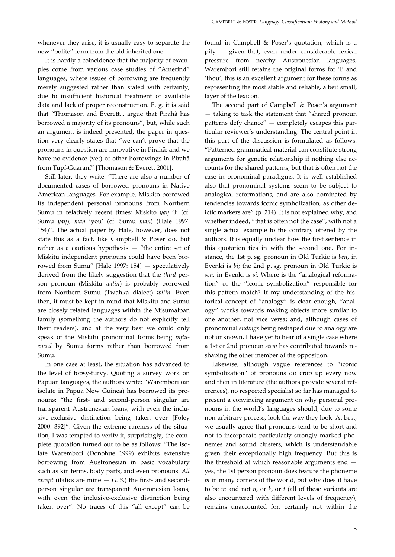whenever they arise, it is usually easy to separate the new "polite" form from the old inherited one.

It is hardly a coincidence that the majority of examples come from various case studies of "Amerind" languages, where issues of borrowing are frequently merely suggested rather than stated with certainty, due to insufficient historical treatment of available data and lack of proper reconstruction. E. g. it is said that "Thomason and Everett... argue that Pirahã has borrowed a majority of its pronouns", but, while such an argument is indeed presented, the paper in question very clearly states that "we can't prove that the pronouns in question are innovative in Pirahã; and we have no evidence (yet) of other borrowings in Pirahã from Tupí-Guaraní" [Thomason & Everett 2001].

Still later, they write: "There are also a number of documented cases of borrowed pronouns in Native American languages. For example, Miskito borrowed its independent personal pronouns from Northern Sumu in relatively recent times: Miskito yan 'I' (cf. Sumu yan), man 'you' (cf. Sumu man) (Hale 1997: 154)". The actual paper by Hale, however, does not state this as a fact, like Campbell & Poser do, but rather as a cautious hypothesis — "the entire set of Miskitu independent pronouns could have been borrowed from Sumu" [Hale 1997: 154] — speculatively derived from the likely suggestion that the third person pronoun (Miskitu witin) is probably borrowed from Northern Sumu (Twahka dialect) witin. Even then, it must be kept in mind that Miskitu and Sumu are closely related languages within the Misumalpan family (something the authors do not explicitly tell their readers), and at the very best we could only speak of the Miskitu pronominal forms being influenced by Sumu forms rather than borrowed from Sumu.

In one case at least, the situation has advanced to the level of topsy-turvy. Quoting a survey work on Papuan languages, the authors write: "Warembori (an isolate in Papua New Guinea) has borrowed its pronouns: "the first- and second-person singular are transparent Austronesian loans, with even the inclusive-exclusive distinction being taken over [Foley 2000: 392]". Given the extreme rareness of the situation, I was tempted to verify it; surprisingly, the complete quotation turned out to be as follows: "The isolate Warembori (Donohue 1999) exhibits extensive borrowing from Austronesian in basic vocabulary such as kin terms, body parts, and even pronouns. All except (italics are mine  $-$  G. S.) the first- and secondperson singular are transparent Austronesian loans, with even the inclusive-exclusive distinction being taken over". No traces of this "all except" can be

found in Campbell & Poser's quotation, which is a pity — given that, even under considerable lexical pressure from nearby Austronesian languages, Warembori still retains the original forms for 'I' and 'thou', this is an excellent argument for these forms as representing the most stable and reliable, albeit small, layer of the lexicon.

The second part of Campbell & Poser's argument — taking to task the statement that "shared pronoun patterns defy chance" — completely escapes this particular reviewer's understanding. The central point in this part of the discussion is formulated as follows: "Patterned grammatical material can constitute strong arguments for genetic relationship if nothing else accounts for the shared patterns, but that is often not the case in pronominal paradigms. It is well established also that pronominal systems seem to be subject to analogical reformations, and are also dominated by tendencies towards iconic symbolization, as other deictic markers are" (p. 214). It is not explained why, and whether indeed, "that is often not the case", with not a single actual example to the contrary offered by the authors. It is equally unclear how the first sentence in this quotation ties in with the second one. For instance, the 1st p. sg. pronoun in Old Turkic is ben, in Evenki is bi; the 2nd p. sg. pronoun in Old Turkic is sen, in Evenki is si. Where is the "analogical reformation" or the "iconic symbolization" responsible for this pattern match? If my understanding of the historical concept of "analogy" is clear enough, "analogy" works towards making objects more similar to one another, not vice versa; and, although cases of pronominal endings being reshaped due to analogy are not unknown, I have yet to hear of a single case where a 1st or 2nd pronoun stem has contributed towards reshaping the other member of the opposition.

Likewise, although vague references to "iconic symbolization" of pronouns do crop up every now and then in literature (the authors provide several references), no respected specialist so far has managed to present a convincing argument on why personal pronouns in the world's languages should, due to some non-arbitrary process, look the way they look. At best, we usually agree that pronouns tend to be short and not to incorporate particularly strongly marked phonemes and sound clusters, which is understandable given their exceptionally high frequency. But this is the threshold at which reasonable arguments end yes, the 1st person pronoun does feature the phoneme  $m$  in many corners of the world, but why does it have to be *m* and not *n*, or *k*, or *t* (all of these variants are also encountered with different levels of frequency), remains unaccounted for, certainly not within the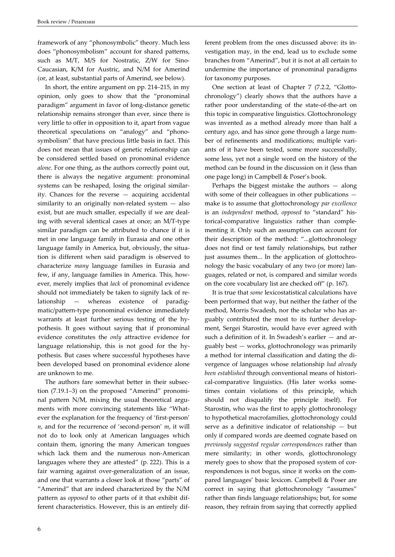framework of any "phonosymbolic" theory. Much less does "phonosymbolism" account for shared patterns, such as M/T, M/S for Nostratic, Z/W for Sino-Caucasian, K/M for Austric, and N/M for Amerind (or, at least, substantial parts of Amerind, see below).

In short, the entire argument on pp. 214–215, in my opinion, only goes to show that the "pronominal paradigm" argument in favor of long-distance genetic relationship remains stronger than ever, since there is very little to offer in opposition to it, apart from vague theoretical speculations on "analogy" and "phonosymbolism" that have precious little basis in fact. This does not mean that issues of genetic relationship can be considered settled based on pronominal evidence alone. For one thing, as the authors correctly point out, there is always the negative argument: pronominal systems can be reshaped, losing the original similarity. Chances for the reverse — acquiring accidental similarity to an originally non-related system — also exist, but are much smaller, especially if we are dealing with several identical cases at once; an M/T-type similar paradigm can be attributed to chance if it is met in one language family in Eurasia and one other language family in America, but, obviously, the situation is different when said paradigm is observed to characterize many language families in Eurasia and few, if any, language families in America. This, however, merely implies that lack of pronominal evidence should not immediately be taken to signify lack of relationship — whereas existence of paradigmatic/pattern-type pronominal evidence immediately warrants at least further serious testing of the hypothesis. It goes without saying that if pronominal evidence constitutes the only attractive evidence for language relationship, this is not good for the hypothesis. But cases where successful hypotheses have been developed based on pronominal evidence alone are unknown to me.

The authors fare somewhat better in their subsection (7.19.1–3) on the proposed "Amerind" pronominal pattern N/M, mixing the usual theoretical arguments with more convincing statements like "Whatever the explanation for the frequency of 'first-person'  $n$ , and for the recurrence of 'second-person'  $m$ , it will not do to look only at American languages which contain them, ignoring the many American tongues which lack them and the numerous non-American languages where they are attested" (p. 222). This is a fair warning against over-generalization of an issue, and one that warrants a closer look at those "parts" of "Amerind" that are indeed characterized by the N/M pattern as opposed to other parts of it that exhibit different characteristics. However, this is an entirely different problem from the ones discussed above: its investigation may, in the end, lead us to exclude some branches from "Amerind", but it is not at all certain to undermine the importance of pronominal paradigms for taxonomy purposes.

One section at least of Chapter 7 (7.2.2, "Glottochronology") clearly shows that the authors have a rather poor understanding of the state-of-the-art on this topic in comparative linguistics. Glottochronology was invented as a method already more than half a century ago, and has since gone through a large number of refinements and modifications; multiple variants of it have been tested, some more successfully, some less, yet not a single word on the history of the method can be found in the discussion on it (less than one page long) in Campbell & Poser's book.

Perhaps the biggest mistake the authors — along with some of their colleagues in other publications make is to assume that glottochronology par excellence is an independent method, opposed to "standard" historical-comparative linguistics rather than complementing it. Only such an assumption can account for their description of the method: "...glottochronology does not find or test family relationships, but rather just assumes them... In the application of glottochronology the basic vocabulary of any two (or more) languages, related or not, is compared and similar words on the core vocabulary list are checked off" (p. 167).

It is true that some lexicostatistical calculations have been performed that way, but neither the father of the method, Morris Swadesh, nor the scholar who has arguably contributed the most to its further development, Sergei Starostin, would have ever agreed with such a definition of it. In Swadesh's earlier — and arguably best — works, glottochronology was primarily a method for internal classification and dating the divergence of languages whose relationship had already been established through conventional means of historical-comparative linguistics. (His later works sometimes contain violations of this principle, which should not disqualify the principle itself). For Starostin, who was the first to apply glottochronology to hypothetical macrofamilies, glottochronology could serve as a definitive indicator of relationship — but only if compared words are deemed cognate based on previously suggested regular correspondences rather than mere similarity; in other words, glottochronology merely goes to show that the proposed system of correspondences is not bogus, since it works on the compared languages' basic lexicon. Campbell & Poser are correct in saying that glottochronology "assumes" rather than finds language relationships; but, for some reason, they refrain from saying that correctly applied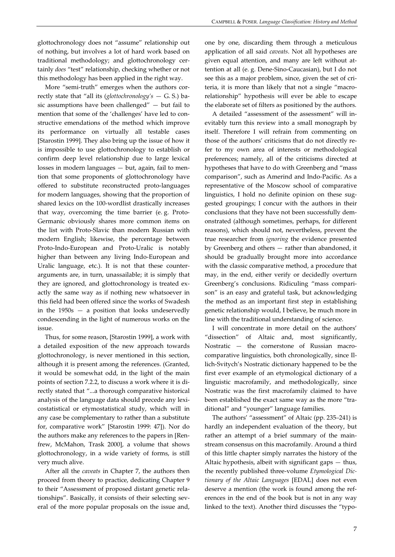glottochronology does not "assume" relationship out of nothing, but involves a lot of hard work based on traditional methodology; and glottochronology certainly does "test" relationship, checking whether or not this methodology has been applied in the right way.

More "semi-truth" emerges when the authors correctly state that "all its (glottochronology's  $-$  G. S.) basic assumptions have been challenged" — but fail to mention that some of the 'challenges' have led to constructive emendations of the method which improve its performance on virtually all testable cases [Starostin 1999]. They also bring up the issue of how it is impossible to use glottochronology to establish or confirm deep level relationship due to large lexical losses in modern languages — but, again, fail to mention that some proponents of glottochronology have offered to substitute reconstructed proto-languages for modern languages, showing that the proportion of shared lexics on the 100-wordlist drastically increases that way, overcoming the time barrier (e. g. Proto-Germanic obviously shares more common items on the list with Proto-Slavic than modern Russian with modern English; likewise, the percentage between Proto-Indo-European and Proto-Uralic is notably higher than between any living Indo-European and Uralic language, etc.). It is not that these counterarguments are, in turn, unassailable; it is simply that they are ignored, and glottochronology is treated exactly the same way as if nothing new whatsoever in this field had been offered since the works of Swadesh in the 1950s — a position that looks undeservedly condescending in the light of numerous works on the issue.

Thus, for some reason, [Starostin 1999], a work with a detailed exposition of the new approach towards glottochronology, is never mentioned in this section, although it is present among the references. (Granted, it would be somewhat odd, in the light of the main points of section 7.2.2, to discuss a work where it is directly stated that "...a thorough comparative historical analysis of the language data should precede any lexicostatistical or etymostatistical study, which will in any case be complementary to rather than a substitute for, comparative work" [Starostin 1999: 47]). Nor do the authors make any references to the papers in [Renfrew, McMahon, Trask 2000], a volume that shows glottochronology, in a wide variety of forms, is still very much alive.

After all the caveats in Chapter 7, the authors then proceed from theory to practice, dedicating Chapter 9 to their "Assessment of proposed distant genetic relationships". Basically, it consists of their selecting several of the more popular proposals on the issue and,

one by one, discarding them through a meticulous application of all said caveats. Not all hypotheses are given equal attention, and many are left without attention at all (e. g. Dene-Sino-Caucasian), but I do not see this as a major problem, since, given the set of criteria, it is more than likely that not a single "macrorelationship" hypothesis will ever be able to escape the elaborate set of filters as positioned by the authors.

A detailed "assessment of the assessment" will inevitably turn this review into a small monograph by itself. Therefore I will refrain from commenting on those of the authors' criticisms that do not directly refer to my own area of interests or methodological preferences; namely, all of the criticisms directed at hypotheses that have to do with Greenberg and "mass comparison", such as Amerind and Indo-Pacific. As a representative of the Moscow school of comparative linguistics, I hold no definite opinion on these suggested groupings; I concur with the authors in their conclusions that they have not been successfully demonstrated (although sometimes, perhaps, for different reasons), which should not, nevertheless, prevent the true researcher from ignoring the evidence presented by Greenberg and others — rather than abandoned, it should be gradually brought more into accordance with the classic comparative method, a procedure that may, in the end, either verify or decidedly overturn Greenberg's conclusions. Ridiculing "mass comparison" is an easy and grateful task, but acknowledging the method as an important first step in establishing genetic relationship would, I believe, be much more in line with the traditional understanding of science.

I will concentrate in more detail on the authors' "dissection" of Altaic and, most significantly, Nostratic — the cornerstone of Russian macrocomparative linguistics, both chronologically, since Illich-Svitych's Nostratic dictionary happened to be the first ever example of an etymological dictionary of a linguistic macrofamily, and methodologically, since Nostratic was the first macrofamily claimed to have been established the exact same way as the more "traditional" and "younger" language families.

The authors' "assessment" of Altaic (pp. 235–241) is hardly an independent evaluation of the theory, but rather an attempt of a brief summary of the mainstream consensus on this macrofamily. Around a third of this little chapter simply narrates the history of the Altaic hypothesis, albeit with significant gaps — thus, the recently published three-volume Etymological Dictionary of the Altaic Languages [EDAL] does not even deserve a mention (the work is found among the references in the end of the book but is not in any way linked to the text). Another third discusses the "typo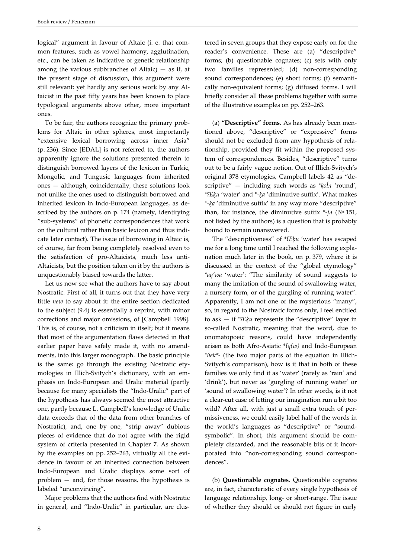logical" argument in favour of Altaic (i. e. that common features, such as vowel harmony, agglutination, etc., can be taken as indicative of genetic relationship among the various subbranches of Altaic)  $-$  as if, at the present stage of discussion, this argument were still relevant: yet hardly any serious work by any Altaicist in the past fifty years has been known to place typological arguments above other, more important ones.

To be fair, the authors recognize the primary problems for Altaic in other spheres, most importantly "extensive lexical borrowing across inner Asia" (p. 236). Since [EDAL] is not referred to, the authors apparently ignore the solutions presented therein to distinguish borrowed layers of the lexicon in Turkic, Mongolic, and Tungusic languages from inherited ones — although, coincidentally, these solutions look not unlike the ones used to distinguish borrowed and inherited lexicon in Indo-European languages, as described by the authors on p. 174 (namely, identifying "sub-systems" of phonetic correspondences that work on the cultural rather than basic lexicon and thus indicate later contact). The issue of borrowing in Altaic is, of course, far from being completely resolved even to the satisfaction of pro-Altaicists, much less anti-Altaicists, but the position taken on it by the authors is unquestionably biased towards the latter.

Let us now see what the authors have to say about Nostratic. First of all, it turns out that they have very little new to say about it: the entire section dedicated to the subject (9.4) is essentially a reprint, with minor corrections and major omissions, of [Campbell 1998]. This is, of course, not a criticism in itself; but it means that most of the argumentation flaws detected in that earlier paper have safely made it, with no amendments, into this larger monograph. The basic principle is the same: go through the existing Nostratic etymologies in Illich-Svitych's dictionary, with an emphasis on Indo-European and Uralic material (partly because for many specialists the "Indo-Uralic" part of the hypothesis has always seemed the most attractive one, partly because L. Campbell's knowledge of Uralic data exceeds that of the data from other branches of Nostratic), and, one by one, "strip away" dubious pieces of evidence that do not agree with the rigid system of criteria presented in Chapter 7. As shown by the examples on pp. 252–263, virtually all the evidence in favour of an inherited connection between Indo-European and Uralic displays some sort of problem — and, for those reasons, the hypothesis is labeled "unconvincing".

Major problems that the authors find with Nostratic in general, and "Indo-Uralic" in particular, are clustered in seven groups that they expose early on for the reader's convenience. These are (a) "descriptive" forms; (b) questionable cognates; (c) sets with only two families represented; (d) non-corresponding sound correspondences; (e) short forms; (f) semantically non-equivalent forms; (g) diffused forms. I will briefly consider all these problems together with some of the illustrative examples on pp. 252–263.

(a) "Descriptive" forms. As has already been mentioned above, "descriptive" or "expressive" forms should not be excluded from any hypothesis of relationship, provided they fit within the proposed system of correspondences. Besides, "descriptive" turns out to be a fairly vague notion. Out of Illich-Svitych's original 378 etymologies, Campbell labels 42 as "descriptive" — including such words as  $*{kola}$  'round', \*Eḳu 'water' and \*ḳa 'diminutive suffix'. What makes \*ḳa 'diminutive suffix' in any way more "descriptive" than, for instance, the diminutive suffix  $*$ -j $\Lambda$  ( $N$ <sup>o</sup> 151, not listed by the authors) is a question that is probably bound to remain unanswered.

The "descriptiveness" of \*Eḳu 'water' has escaped me for a long time until I reached the following explanation much later in the book, on p. 379, where it is discussed in the context of the "global etymology" \*aq'wa 'water': "The similarity of sound suggests to many the imitation of the sound of swallowing water, a nursery form, or of the gurgling of running water". Apparently, I am not one of the mysterious "many", so, in regard to the Nostratic forms only, I feel entitled to ask  $-$  if  $Eku$  represents the "descriptive" layer in so-called Nostratic, meaning that the word, due to onomatopoeic reasons, could have independently arisen as both Afro-Asiatic  $\sqrt[k]{q(w)}$  and Indo-European \* $\hbar e k^w$ - (the two major parts of the equation in Illich-Svitych's comparison), how is it that in both of these families we only find it as 'water' (rarely as 'rain' and 'drink'), but never as 'gurgling of running water' or 'sound of swallowing water'? In other words, is it not a clear-cut case of letting our imagination run a bit too wild? After all, with just a small extra touch of permissiveness, we could easily label half of the words in the world's languages as "descriptive" or "soundsymbolic". In short, this argument should be completely discarded, and the reasonable bits of it incorporated into "non-corresponding sound correspondences".

(b) Questionable cognates. Questionable cognates are, in fact, characteristic of every single hypothesis of language relationship, long- or short-range. The issue of whether they should or should not figure in early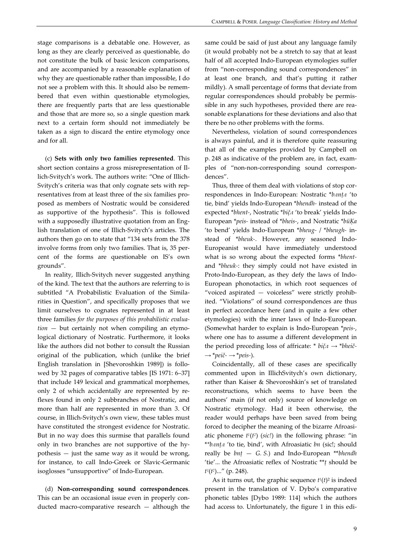stage comparisons is a debatable one. However, as long as they are clearly perceived as questionable, do not constitute the bulk of basic lexicon comparisons, and are accompanied by a reasonable explanation of why they are questionable rather than impossible, I do not see a problem with this. It should also be remembered that even within questionable etymologies, there are frequently parts that are less questionable and those that are more so, so a single question mark next to a certain form should not immediately be taken as a sign to discard the entire etymology once and for all.

(c) Sets with only two families represented. This short section contains a gross misrepresentation of Illich-Svitych's work. The authors write: "One of Illich-Svitych's criteria was that only cognate sets with representatives from at least three of the six families proposed as members of Nostratic would be considered as supportive of the hypothesis". This is followed with a supposedly illustrative quotation from an English translation of one of Illich-Svitych's articles. The authors then go on to state that "134 sets from the 378 involve forms from only two families. That is, 35 percent of the forms are questionable on IS's own grounds".

In reality, Illich-Svitych never suggested anything of the kind. The text that the authors are referring to is subtitled "A Probabilistic Evaluation of the Similarities in Question", and specifically proposes that we limit ourselves to cognates represented in at least three families for the purposes of this probabilistic evalua $tion$  – but certainly not when compiling an etymological dictionary of Nostratic. Furthermore, it looks like the authors did not bother to consult the Russian original of the publication, which (unlike the brief English translation in [Shevoroshkin 1989]) is followed by 32 pages of comparative tables [IS 1971: 6–37] that include 149 lexical and grammatical morphemes, only 2 of which accidentally are represented by reflexes found in only 2 subbranches of Nostratic, and more than half are represented in more than 3. Of course, in Illich-Svitych's own view, these tables must have constituted the strongest evidence for Nostratic. But in no way does this surmise that parallels found only in two branches are not supportive of the hypothesis — just the same way as it would be wrong, for instance, to call Indo-Greek or Slavic-Germanic isoglosses "unsupportive" of Indo-European.

(d) Non-corresponding sound correspondences. This can be an occasional issue even in properly conducted macro-comparative research — although the

same could be said of just about any language family (it would probably not be a stretch to say that at least half of all accepted Indo-European etymologies suffer from "non-corresponding sound correspondences" in at least one branch, and that's putting it rather mildly). A small percentage of forms that deviate from regular correspondences should probably be permissible in any such hypotheses, provided there are reasonable explanations for these deviations and also that there be no other problems with the forms.

Nevertheless, violation of sound correspondences is always painful, and it is therefore quite reassuring that all of the examples provided by Campbell on p. 248 as indicative of the problem are, in fact, examples of "non-non-corresponding sound correspondences".

Thus, three of them deal with violations of stop correspondences in Indo-European: Nostratic \*banța 'to tie, bind' yields Indo-European \*bhendh- instead of the expected \*bhent-, Nostratic \*biča 'to break' yields Indo-European \*peis- instead of \*bheis-, and Nostratic \*büKa 'to bend' yields Indo-European \*bheug- / \*bheugh- instead of \*bheuk. However, any seasoned Indo-Europeanist would have immediately understood what is so wrong about the expected forms \*bhentand \*bheuk: they simply could not have existed in Proto-Indo-European, as they defy the laws of Indo-European phonotactics, in which root sequences of "voiced aspirated — voiceless" were strictly prohibited. "Violations" of sound correspondences are thus in perfect accordance here (and in quite a few other etymologies) with the inner laws of Indo-European. (Somewhat harder to explain is Indo-European \*peis, where one has to assume a different development in the period preceding loss of affricate: \* bič $a \rightarrow$  \*bheič- $\rightarrow$  \*peič- $\rightarrow$  \*peis-).

Coincidentally, all of these cases are specifically commented upon in IllichSvitych's own dictionary, rather than Kaiser & Shevoroshkin's set of translated reconstructions, which seems to have been the authors' main (if not only) source of knowledge on Nostratic etymology. Had it been otherwise, the reader would perhaps have been saved from being forced to decipher the meaning of the bizarre Afroasiatic phoneme  $t^{1}(t^{2})$  (sic!) in the following phrase: "in \*\*banța 'to tie, bind', with Afroasiatic bn (sic!; should really be  $bn_t - G. S.$ ) and Indo-European \*\*bhendh 'tie'... the Afroasiatic reflex of Nostratic \*\*ṭ should be  $t^{1}(t^{2})...$ " (p. 248).

As it turns out, the graphic sequence  $t^{1}(t)^{2}$  is indeed present in the translation of V. Dybo's comparative phonetic tables [Dybo 1989: 114] which the authors had access to. Unfortunately, the figure 1 in this edi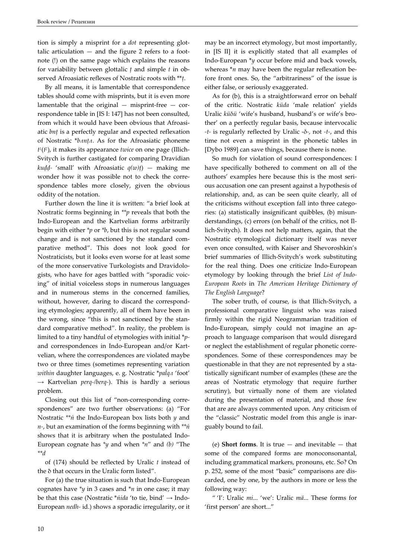tion is simply a misprint for a dot representing glottalic articulation  $-$  and the figure 2 refers to a footnote (!) on the same page which explains the reasons for variability between glottalic  *and simple*  $*t*$  *in ob*served Afroasiatic reflexes of Nostratic roots with \*\*\*.

By all means, it is lamentable that correspondence tables should come with misprints, but it is even more lamentable that the original  $-$  misprint-free  $-$  correspondence table in [IS I: 147] has not been consulted, from which it would have been obvious that Afroasiatic bnt is a perfectly regular and expected reflexation of Nostratic \*banța. As for the Afroasiatic phoneme  $t^{1}(t^{2})$ , it makes its appearance *twice* on one page (Illich-Svitych is further castigated for comparing Dravidian kuḍḍ- 'small' with Afroasiatic  $q(w)t$ ) — making me wonder how it was possible not to check the correspondence tables more closely, given the obvious oddity of the notation.

Further down the line it is written: "a brief look at Nostratic forms beginning in  $*_{p}$  reveals that both the Indo-European and the Kartvelian forms arbitrarily begin with either  $\gamma p$  or  $\gamma b$ , but this is not regular sound change and is not sanctioned by the standard comparative method". This does not look good for Nostraticists, but it looks even worse for at least some of the more conservative Turkologists and Dravidologists, who have for ages battled with "sporadic voicing" of initial voiceless stops in numerous languages and in numerous stems in the concerned families, without, however, daring to discard the corresponding etymologies; apparently, all of them have been in the wrong, since "this is not sanctioned by the standard comparative method". In reality, the problem is limited to a tiny handful of etymologies with initial \*pand correspondences in Indo-European and/or Kartvelian, where the correspondences are violated maybe two or three times (sometimes representing variation within daughter languages, e. g. Nostratic  $*p$ aĺq $\alpha$  'foot'  $\rightarrow$  Kartvelian perq-/berq-). This is hardly a serious problem.

Closing out this list of "non-corresponding correspondences" are two further observations: (a) "For Nostratic  $**$ *n* the Indo-European box lists both  $\psi$  and  $n<sub>l</sub>$ , but an examination of the forms beginning with \*\**n*<sup>\*\*</sup>*n*<sup>\*</sup> shows that it is arbitrary when the postulated Indo-European cognate has  $*_y$  and when  $*_n$ " and (b) "The \*\*d

of  $(174)$  should be reflected by Uralic t instead of the δ that occurs in the Uralic form listed".

For (a) the true situation is such that Indo-European cognates have  $\gamma$  in 3 cases and  $\gamma$  in one case; it may be that this case (Nostratic \**ńida* 'to tie, bind'  $\rightarrow$  Indo-European nedh- id.) shows a sporadic irregularity, or it may be an incorrect etymology, but most importantly, in [IS II] it is explicitly stated that all examples of Indo-European \*y occur before mid and back vowels, whereas  $n$  may have been the regular reflexation before front ones. So, the "arbitrariness" of the issue is either false, or seriously exaggerated.

As for (b), this is a straightforward error on behalf of the critic. Nostratic küda 'male relation' yields Uralic küδü 'wife's husband, husband's or wife's brother' on a perfectly regular basis, because intervocalic -*t*- is regularly reflected by Uralic - $\delta$ -, not -*t*-, and this time not even a misprint in the phonetic tables in [Dybo 1989] can save things, because there is none.

So much for violation of sound correspondences: I have specifically bothered to comment on all of the authors' examples here because this is the most serious accusation one can present against a hypothesis of relationship, and, as can be seen quite clearly, all of the criticisms without exception fall into three categories: (a) statistically insignificant quibbles, (b) misunderstandings, (c) errors (on behalf of the critics, not Illich-Svitych). It does not help matters, again, that the Nostratic etymological dictionary itself was never even once consulted, with Kaiser and Shevoroshkin's brief summaries of Illich-Svitych's work substituting for the real thing. Does one criticize Indo-European etymology by looking through the brief List of Indo-European Roots in The American Heritage Dictionary of The English Language?

The sober truth, of course, is that Illich-Svitych, a professional comparative linguist who was raised firmly within the rigid Neogrammarian tradition of Indo-European, simply could not imagine an approach to language comparison that would disregard or neglect the establishment of regular phonetic correspondences. Some of these correspondences may be questionable in that they are not represented by a statistically significant number of examples (these are the areas of Nostratic etymology that require further scrutiny), but virtually none of them are violated during the presentation of material, and those few that are are always commented upon. Any criticism of the "classic" Nostratic model from this angle is inarguably bound to fail.

(e) **Short forms**. It is true  $-$  and inevitable  $-$  that some of the compared forms are monoconsonantal, including grammatical markers, pronouns, etc. So? On p. 252, some of the most "basic" comparisons are discarded, one by one, by the authors in more or less the following way:

" 'I': Uralic mi... 'we': Uralic mä... These forms for 'first person' are short..."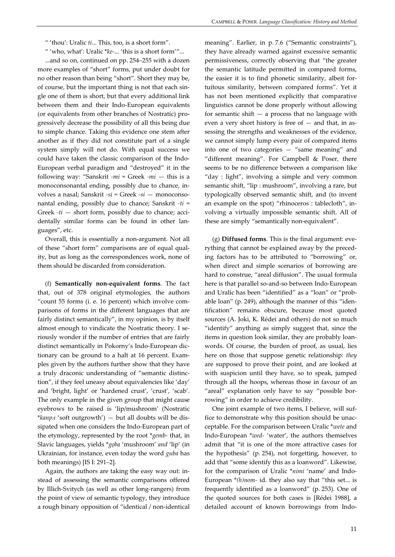" 'who, what': Uralic \*ke... 'this is a short form'"...

...and so on, continued on pp. 254–255 with a dozen more examples of "short" forms, put under doubt for no other reason than being "short". Short they may be, of course, but the important thing is not that each single one of them is short, but that every additional link between them and their Indo-European equivalents (or equivalents from other branches of Nostratic) progressively decrease the possibility of all this being due to simple chance. Taking this evidence one stem after another as if they did not constitute part of a single system simply will not do. With equal success we could have taken the classic comparison of the Indo-European verbal paradigm and "destroyed" it in the following way: "Sanskrit - $mi =$  Greek - $mi -$  this is a monoconsonantal ending, possibly due to chance, involves a nasal; Sanskrit  $-si = \text{Greek } -si$  — monoconsonantal ending, possibly due to chance; Sanskrit  $-ti =$ Greek  $-ti$  — short form, possibly due to chance; accidentally similar forms can be found in other languages", etc.

Overall, this is essentially a non-argument. Not all of these "short form" comparisons are of equal quality, but as long as the correspondences work, none of them should be discarded from consideration.

(f) Semantically non-equivalent forms. The fact that, out of 378 original etymologies, the authors "count 55 forms (i. e. 16 percent) which involve comparisons of forms in the different languages that are fairly distinct semantically", in my opinion, is by itself almost enough to vindicate the Nostratic theory. I seriously wonder if the number of entries that are fairly distinct semantically in Pokorny's Indo-European dictionary can be ground to a halt at 16 percent. Examples given by the authors further show that they have a truly draconic understanding of "semantic distinction", if they feel uneasy about equivalencies like 'day' and 'bright, light' or 'hardened crust', 'crust', 'scab'. The only example in the given group that might cause eyebrows to be raised is 'lip/mushroom' (Nostratic \*kanpa 'soft outgrowth')  $-$  but all doubts will be dissipated when one considers the Indo-European part of the etymology, represented by the root \*gemb- that, in Slavic languages, yields \*gęba 'mushroom' and 'lip' (in Ukrainian, for instance, even today the word guba has both meanings) [IS I: 291–2].

Again, the authors are taking the easy way out: instead of assessing the semantic comparisons offered by Illich-Svitych (as well as other long-rangers) from the point of view of semantic typology, they introduce a rough binary opposition of "identical / non-identical meaning". Earlier, in p. 7.6 ("Semantic constraints"), they have already warned against excessive semantic permissiveness, correctly observing that "the greater the semantic latitude permitted in compared forms, the easier it is to find phonetic similarity, albeit fortuitous similarity, between compared forms". Yet it has not been mentioned explicitly that comparative linguistics cannot be done properly without allowing for semantic shift  $-$  a process that no language with even a very short history is free of  $-$  and that, in assessing the strengths and weaknesses of the evidence, we cannot simply lump every pair of compared items into one of two categories — "same meaning" and "different meaning". For Campbell & Poser, there seems to be no difference between a comparison like "day : light", involving a simple and very common semantic shift, "lip : mushroom", involving a rare, but typologically observed semantic shift, and (to invent an example on the spot) "rhinoceros : tablecloth", involving a virtually impossible semantic shift. All of these are simply "semantically non-equivalent".

(g) Diffused forms. This is the final argument: everything that cannot be explained away by the preceding factors has to be attributed to "borrowing" or, when direct and simple scenarios of borrowing are hard to construe, "areal diffusion". The usual formula here is that parallel so-and-so between Indo-European and Uralic has been "identified" as a "loan" or "probable loan" (p. 249), although the manner of this "identification" remains obscure, because most quoted sources (A. Joki, K. Rédei and others) do not so much "identify" anything as simply suggest that, since the items in question look similar, they are probably loanwords. Of course, the burden of proof, as usual, lies here on those that suppose genetic relationship: they are supposed to prove their point, and are looked at with suspicion until they have, so to speak, jumped through all the hoops, whereas those in favour of an "areal" explanation only have to say "possible borrowing" in order to achieve credibility.

One joint example of two items, I believe, will suffice to demonstrate why this position should be unacceptable. For the comparison between Uralic \*wete and Indo-European \*wed- 'water', the authors themselves admit that "it is one of the more attractive cases for the hypothesis" (p. 254), not forgetting, however, to add that "some identify this as a loanword". Likewise, for the comparison of Uralic \*nimi 'name' and Indo-European  $*(h)$ nom- id. they also say that "this set... is frequently identified as a loanword" (p. 253). One of the quoted sources for both cases is [Rédei 1988], a detailed account of known borrowings from Indo-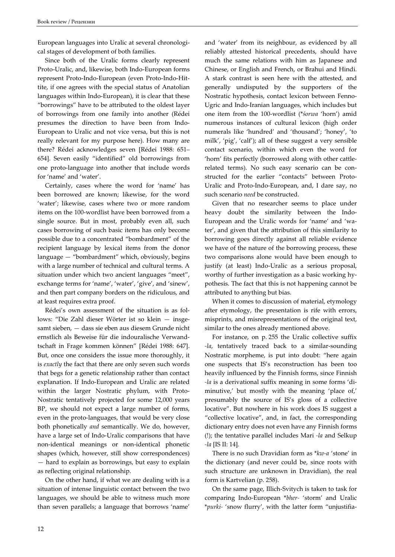European languages into Uralic at several chronological stages of development of both families.

Since both of the Uralic forms clearly represent Proto-Uralic, and, likewise, both Indo-European forms represent Proto-Indo-European (even Proto-Indo-Hittite, if one agrees with the special status of Anatolian languages within Indo-European), it is clear that these "borrowings" have to be attributed to the oldest layer of borrowings from one family into another (Rédei presumes the direction to have been from Indo-European to Uralic and not vice versa, but this is not really relevant for my purpose here). How many are there? Rédei acknowledges seven [Rédei 1988: 651– 654]. Seven easily "identified" old borrowings from one proto-language into another that include words for 'name' and 'water'.

Certainly, cases where the word for 'name' has been borrowed are known; likewise, for the word 'water'; likewise, cases where two or more random items on the 100-wordlist have been borrowed from a single source. But in most, probably even all, such cases borrowing of such basic items has only become possible due to a concentrated "bombardment" of the recipient language by lexical items from the donor language — "bombardment" which, obviously, begins with a large number of technical and cultural terms. A situation under which two ancient languages "meet", exchange terms for 'name', 'water', 'give', and 'sinew', and then part company borders on the ridiculous, and at least requires extra proof.

Rédei's own assessment of the situation is as follows: "Die Zahl dieser Wörter ist so klein — insgesamt sieben, — dass sie eben aus diesem Grunde nicht ernstlich als Beweise für die indouralische Verwandtschaft in Frage kommen können" [Rédei 1988: 647]. But, once one considers the issue more thoroughly, it is exactly the fact that there are only seven such words that begs for a genetic relationship rather than contact explanation. If Indo-European and Uralic are related within the larger Nostratic phylum, with Proto-Nostratic tentatively projected for some 12,000 years BP, we should not expect a large number of forms, even in the proto-languages, that would be very close both phonetically and semantically. We do, however, have a large set of Indo-Uralic comparisons that have non-identical meanings or non-identical phonetic shapes (which, however, still show correspondences) — hard to explain as borrowings, but easy to explain as reflecting original relationship.

On the other hand, if what we are dealing with is a situation of intense linguistic contact between the two languages, we should be able to witness much more than seven parallels; a language that borrows 'name'

and 'water' from its neighbour, as evidenced by all reliably attested historical precedents, should have much the same relations with him as Japanese and Chinese, or English and French, or Brahui and Hindi. A stark contrast is seen here with the attested, and generally undisputed by the supporters of the Nostratic hypothesis, contact lexicon between Fenno-Ugric and Indo-Iranian languages, which includes but one item from the 100-wordlist (\*śorwa 'horn') amid numerous instances of cultural lexicon (high order numerals like 'hundred' and 'thousand'; 'honey', 'to milk', 'pig', 'calf'); all of these suggest a very sensible contact scenario, within which even the word for 'horn' fits perfectly (borrowed along with other cattlerelated terms). No such easy scenario can be constructed for the earlier "contacts" between Proto-Uralic and Proto-Indo-European, and, I dare say, no such scenario need be constructed.

Given that no researcher seems to place under heavy doubt the similarity between the Indo-European and the Uralic words for 'name' and 'water', and given that the attribution of this similarity to borrowing goes directly against all reliable evidence we have of the nature of the borrowing process, these two comparisons alone would have been enough to justify (at least) Indo-Uralic as a serious proposal, worthy of further investigation as a basic working hypothesis. The fact that this is not happening cannot be attributed to anything but bias.

When it comes to discussion of material, etymology after etymology, the presentation is rife with errors, misprints, and misrepresentations of the original text, similar to the ones already mentioned above.

For instance, on p. 255 the Uralic collective suffix -la, tentatively traced back to a similar-sounding Nostratic morpheme, is put into doubt: "here again one suspects that IS's reconstruction has been too heavily influenced by the Finnish forms, since Finnish -la is a derivational suffix meaning in some forms 'diminutive,' but mostly with the meaning 'place of,' presumably the source of IS's gloss of a collective locative". But nowhere in his work does IS suggest a "collective locative", and, in fact, the corresponding dictionary entry does not even have any Finnish forms (!); the tentative parallel includes Mari  $-a$  and Selkup -la [IS II: 14].

There is no such Dravidian form as \*kw-a 'stone' in the dictionary (and never could be, since roots with such structure are unknown in Dravidian), the real form is Kartvelian (p. 258).

On the same page, Illich-Svitych is taken to task for comparing Indo-European \*bher- 'storm' and Uralic \*purki- 'snow flurry', with the latter form "unjustifia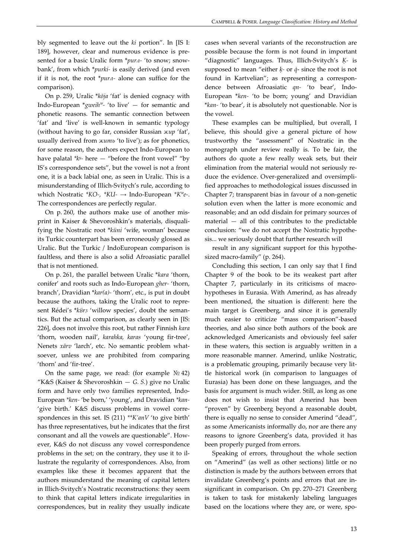bly segmented to leave out the ki portion". In [IS I: 189], however, clear and numerous evidence is presented for a basic Uralic form \*pur<sub>1</sub>- 'to snow; snowbank', from which \*purki- is easily derived (and even if it is not, the root  $*pur A$ - alone can suffice for the comparison).

On p. 259, Uralic \*kōja 'fat' is denied cognacy with Indo-European \*gweih<sup> $w$ </sup>- 'to live'  $-$  for semantic and phonetic reasons. The semantic connection between 'fat' and 'live' is well-known in semantic typology (without having to go far, consider Russian жир 'fat', usually derived from  $xumb$  'to live'); as for phonetics, for some reason, the authors expect Indo-European to have palatal  $*k$ y- here  $-$  "before the front vowel" "by IS's correspondence sets", but the vowel is not a front one, it is a back labial one, as seen in Uralic. This is a misunderstanding of Illich-Svitych's rule, according to which Nostratic \*KO-, \*KU-  $\rightarrow$  Indo-European \*K<sup>w</sup>e-. The correspondences are perfectly regular.

On p. 260, the authors make use of another misprint in Kaiser & Shevoroshkin's materials, disqualifying the Nostratic root \*küni 'wife, woman' because its Turkic counterpart has been erroneously glossed as Uralic. But the Turkic / IndoEuropean comparison is faultless, and there is also a solid Afroasiatic parallel that is not mentioned.

On p. 261, the parallel between Uralic \*kara 'thorn, conifer' and roots such as Indo-European gher- 'thorn, branch', Dravidian \*kar(a)- 'thorn', etc., is put in doubt because the authors, taking the Uralic root to represent Rédei's \*kër<sub>3</sub> 'willow species', doubt the semantics. But the actual comparison, as clearly seen in [IS: 226], does not involve this root, but rather Finnish kara 'thorn, wooden nail', karahka, karas 'young fir-tree', Nenets xārv 'larch', etc. No semantic problem whatsoever, unless we are prohibited from comparing 'thorn' and 'fir-tree'.

On the same page, we read: (for example  $N<sub>2</sub>$  42) "K&S (Kaiser & Shevoroshkin  $- G. S.$ ) give no Uralic form and have only two families represented, Indo-European \*ken- 'be born,' 'young', and Dravidian \*kan- 'give birth.' K&S discuss problems in vowel correspondences in this set. IS (211) \*\*K'anV 'to give birth' has three representatives, but he indicates that the first consonant and all the vowels are questionable". However, K&S do not discuss any vowel correspondence problems in the set; on the contrary, they use it to illustrate the regularity of correspondences. Also, from examples like these it becomes apparent that the authors misunderstand the meaning of capital letters in Illich-Svitych's Nostratic reconstructions: they seem to think that capital letters indicate irregularities in correspondences, but in reality they usually indicate cases when several variants of the reconstruction are possible because the form is not found in important "diagnostic" languages. Thus, Illich-Svitych's K- is supposed to mean "either  $k$ - or  $\dot{q}$ - since the root is not found in Kartvelian"; as representing a correspondence between Afroasiatic qn- 'to bear', Indo-European \*ken- 'to be born; young' and Dravidian \*kan- 'to bear', it is absolutely not questionable. Nor is the vowel.

These examples can be multiplied, but overall, I believe, this should give a general picture of how trustworthy the "assessment" of Nostratic in the monograph under review really is. To be fair, the authors do quote a few really weak sets, but their elimination from the material would not seriously reduce the evidence. Over-generalized and oversimplified approaches to methodological issues discussed in Chapter 7; transparent bias in favour of a non-genetic solution even when the latter is more economic and reasonable; and an odd disdain for primary sources of material — all of this contributes to the predictable conclusion: "we do not accept the Nostratic hypothesis... we seriously doubt that further research will

result in any significant support for this hypothesized macro-family" (p. 264).

Concluding this section, I can only say that I find Chapter 9 of the book to be its weakest part after Chapter 7, particularly in its criticisms of macrohypotheses in Eurasia. With Amerind, as has already been mentioned, the situation is different: here the main target is Greenberg, and since it is generally much easier to criticize "mass comparison"-based theories, and also since both authors of the book are acknowledged Americanists and obviously feel safer in these waters, this section is arguably written in a more reasonable manner. Amerind, unlike Nostratic, is a problematic grouping, primarily because very little historical work (in comparison to languages of Eurasia) has been done on these languages, and the basis for argument is much wider. Still, as long as one does not wish to insist that Amerind has been "proven" by Greenberg beyond a reasonable doubt, there is equally no sense to consider Amerind "dead", as some Americanists informally do, nor are there any reasons to ignore Greenberg's data, provided it has been properly purged from errors.

Speaking of errors, throughout the whole section on "Amerind" (as well as other sections) little or no distinction is made by the authors between errors that invalidate Greenberg's points and errors that are insignificant in comparison. On pp. 270–271 Greenberg is taken to task for mistakenly labeling languages based on the locations where they are, or were, spo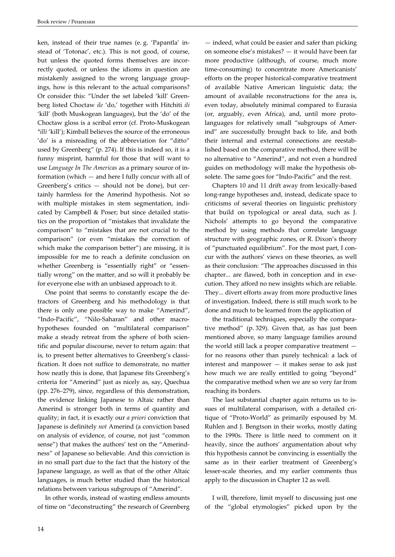ken, instead of their true names (e. g. 'Papantla' instead of 'Totonac', etc.). This is not good, of course, but unless the quoted forms themselves are incorrectly quoted, or unless the idioms in question are mistakenly assigned to the wrong language groupings, how is this relevant to the actual comparisons? Or consider this: "Under the set labeled 'kill' Greenberg listed Choctaw ile 'do,' together with Hitchiti ili 'kill' (both Muskogean languages), but the 'do' of the Choctaw gloss is a scribal error (cf. Proto-Muskogean \*illi 'kill'); Kimball believes the source of the erroneous 'do' is a misreading of the abbreviation for "ditto" used by Greenberg" (p. 274). If this is indeed so, it is a funny misprint, harmful for those that will want to use Language In The Americas as a primary source of information (which — and here I fully concur with all of Greenberg's critics — should not be done), but certainly harmless for the Amerind hypothesis. Not so with multiple mistakes in stem segmentation, indicated by Campbell & Poser; but since detailed statistics on the proportion of "mistakes that invalidate the comparison" to "mistakes that are not crucial to the comparison" (or even "mistakes the correction of which make the comparison better") are missing, it is impossible for me to reach a definite conclusion on whether Greenberg is "essentially right" or "essentially wrong" on the matter, and so will it probably be for everyone else with an unbiased approach to it.

One point that seems to constantly escape the detractors of Greenberg and his methodology is that there is only one possible way to make "Amerind", "Indo-Pacific", "Nilo-Saharan" and other macrohypotheses founded on "multilateral comparison" make a steady retreat from the sphere of both scientific and popular discourse, never to return again: that is, to present better alternatives to Greenberg's classification. It does not suffice to demonstrate, no matter how neatly this is done, that Japanese fits Greenberg's criteria for "Amerind" just as nicely as, say, Quechua (pp. 276–279), since, regardless of this demonstration, the evidence linking Japanese to Altaic rather than Amerind is stronger both in terms of quantity and quality; in fact, it is exactly our a priori conviction that Japanese is definitely not Amerind (a conviction based on analysis of evidence, of course, not just "common sense") that makes the authors' test on the "Amerindness" of Japanese so believable. And this conviction is in no small part due to the fact that the history of the Japanese language, as well as that of the other Altaic languages, is much better studied than the historical relations between various subgroups of "Amerind".

In other words, instead of wasting endless amounts of time on "deconstructing" the research of Greenberg

— indeed, what could be easier and safer than picking on someone else's mistakes? — it would have been far more productive (although, of course, much more time-consuming) to concentrate more Americanists' efforts on the proper historical-comparative treatment of available Native American linguistic data; the amount of available reconstructions for the area is, even today, absolutely minimal compared to Eurasia (or, arguably, even Africa), and, until more protolanguages for relatively small "subgroups of Amerind" are successfully brought back to life, and both their internal and external connections are reestablished based on the comparative method, there will be no alternative to "Amerind", and not even a hundred guides on methodology will make the hypothesis obsolete. The same goes for "Indo-Pacific" and the rest.

Chapters 10 and 11 drift away from lexically-based long-range hypotheses and, instead, dedicate space to criticisms of several theories on linguistic prehistory that build on typological or areal data, such as J. Nichols' attempts to go beyond the comparative method by using methods that correlate language structure with geographic zones, or R. Dixon's theory of "punctuated equilibrium". For the most part, I concur with the authors' views on these theories, as well as their conclusion: "The approaches discussed in this chapter... are flawed, both in conception and in execution. They afford no new insights which are reliable. They... divert efforts away from more productive lines of investigation. Indeed, there is still much work to be done and much to be learned from the application of

the traditional techniques, especially the comparative method" (p. 329). Given that, as has just been mentioned above, so many language families around the world still lack a proper comparative treatment for no reasons other than purely technical: a lack of interest and manpower — it makes sense to ask just how much we are really entitled to going "beyond" the comparative method when we are so very far from reaching its borders.

The last substantial chapter again returns us to issues of multilateral comparison, with a detailed critique of "Proto-World" as primarily espoused by M. Ruhlen and J. Bengtson in their works, mostly dating to the 1990s. There is little need to comment on it heavily, since the authors' argumentation about why this hypothesis cannot be convincing is essentially the same as in their earlier treatment of Greenberg's lesser-scale theories, and my earlier comments thus apply to the discussion in Chapter 12 as well.

I will, therefore, limit myself to discussing just one of the "global etymologies" picked upon by the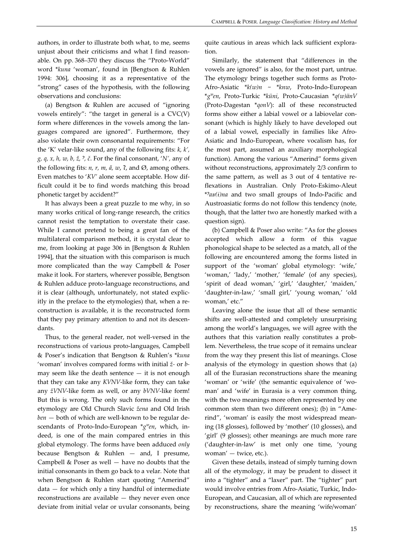(a) Bengtson & Ruhlen are accused of "ignoring vowels entirely": "the target in general is a CVC(V) form where differences in the vowels among the languages compared are ignored". Furthermore, they also violate their own consonantal requirements: "For the 'K' velar-like sound, any of the following fits:  $k, k',$ g, q, x, h, w, b,  $\zeta$ ,  $\zeta$ ,  $\zeta$ . For the final consonant, 'N', any of the following fits:  $n$ ,  $r$ ,  $m$ ,  $\tilde{a}$ ,  $w$ ,  $\tilde{c}$ , and  $\varnothing$ , among others. Even matches to 'KV' alone seem acceptable. How difficult could it be to find words matching this broad phonetic target by accident?"

It has always been a great puzzle to me why, in so many works critical of long-range research, the critics cannot resist the temptation to overstate their case. While I cannot pretend to being a great fan of the multilateral comparison method, it is crystal clear to me, from looking at page 306 in [Bengtson & Ruhlen 1994], that the situation with this comparison is much more complicated than the way Campbell & Poser make it look. For starters, wherever possible, Bengtson & Ruhlen adduce proto-language reconstructions, and it is clear (although, unfortunately, not stated explicitly in the preface to the etymologies) that, when a reconstruction is available, it is the reconstructed form that they pay primary attention to and not its descendants.

Thus, to the general reader, not well-versed in the reconstructions of various proto-languages, Campbell & Poser's indication that Bengtson & Ruhlen's \*kuna 'woman' involves compared forms with initial ž- or bmay seem like the death sentence  $-$  it is not enough that they can take any KVNV-like form, they can take any žVNV-like form as well, or any bVNV-like form! But this is wrong. The only such forms found in the etymology are Old Church Slavic žena and Old Irish ben — both of which are well-known to be regular descendants of Proto-Indo-European  $*g^w$ en, which, indeed, is one of the main compared entries in this global etymology. The forms have been adduced only because Bengtson & Ruhlen — and, I presume, Campbell & Poser as well — have no doubts that the initial consonants in them go back to a velar. Note that when Bengtson & Ruhlen start quoting "Amerind" data — for which only a tiny handful of intermediate reconstructions are available — they never even once deviate from initial velar or uvular consonants, being quite cautious in areas which lack sufficient exploration.

Similarly, the statement that "differences in the vowels are ignored" is also, for the most part, untrue. The etymology brings together such forms as Proto-Afro-Asiatic  $*k(w)n \sim *knw$ , Proto-Indo-European  $*_{g}$ <sup>w</sup>en, Proto-Turkic  $*$ küni, Proto-Caucasian  $*_{g}(w)$ änV (Proto-Dagestan \*qonV): all of these reconstructed forms show either a labial vowel or a labiovelar consonant (which is highly likely to have developed out of a labial vowel, especially in families like Afro-Asiatic and Indo-European, where vocalism has, for the most part, assumed an auxiliary morphological function). Among the various "Amerind" forms given without reconstructions, approximately 2/3 confirm to the same pattern, as well as 3 out of 4 tentative reflexations in Australian. Only Proto-Eskimo-Aleut  $*2a$ <sub>K</sub> $(i)$ na and two small groups of Indo-Pacific and Austroasiatic forms do not follow this tendency (note, though, that the latter two are honestly marked with a question sign).

(b) Campbell & Poser also write: "As for the glosses accepted which allow a form of this vague phonological shape to be selected as a match, all of the following are encountered among the forms listed in support of the 'woman' global etymology: 'wife,' 'woman,' 'lady,' 'mother,' 'female' (of any species), 'spirit of dead woman,' 'girl,' 'daughter,' 'maiden,' 'daughter-in-law,' 'small girl,' 'young woman,' 'old woman,' etc."

Leaving alone the issue that all of these semantic shifts are well-attested and completely unsurprising among the world's languages, we will agree with the authors that this variation really constitutes a problem. Nevertheless, the true scope of it remains unclear from the way they present this list of meanings. Close analysis of the etymology in question shows that (a) all of the Eurasian reconstructions share the meaning 'woman' or 'wife' (the semantic equivalence of 'woman' and 'wife' in Eurasia is a very common thing, with the two meanings more often represented by one common stem than two different ones); (b) in "Amerind", 'woman' is easily the most widespread meaning (18 glosses), followed by 'mother' (10 glosses), and 'girl' (9 glosses); other meanings are much more rare ('daughter-in-law' is met only one time, 'young woman' — twice, etc.).

Given these details, instead of simply turning down all of the etymology, it may be prudent to dissect it into a "tighter" and a "laxer" part. The "tighter" part would involve entries from Afro-Asiatic, Turkic, Indo-European, and Caucasian, all of which are represented by reconstructions, share the meaning 'wife/woman'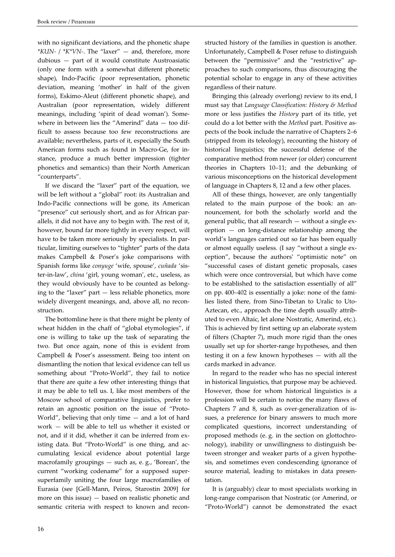with no significant deviations, and the phonetic shape  $*KUN- / *K^wVN-$ . The "laxer" — and, therefore, more dubious — part of it would constitute Austroasiatic (only one form with a somewhat different phonetic shape), Indo-Pacific (poor representation, phonetic deviation, meaning 'mother' in half of the given forms), Eskimo-Aleut (different phonetic shape), and Australian (poor representation, widely different meanings, including 'spirit of dead woman'). Somewhere in between lies the "Amerind" data — too difficult to assess because too few reconstructions are available; nevertheless, parts of it, especially the South American forms such as found in Macro-Ge, for instance, produce a much better impression (tighter phonetics and semantics) than their North American "counterparts".

If we discard the "laxer" part of the equation, we will be left without a "global" root: its Australian and Indo-Pacific connections will be gone, its American "presence" cut seriously short, and as for African parallels, it did not have any to begin with. The rest of it, however, bound far more tightly in every respect, will have to be taken more seriously by specialists. In particular, limiting ourselves to "tighter" parts of the data makes Campbell & Poser's joke comparisons with Spanish forms like conyuge 'wife, spouse', cuñada 'sister-in-law', china 'girl, young woman', etc., useless, as they would obviously have to be counted as belonging to the "laxer" part — less reliable phonetics, more widely divergent meanings, and, above all, no reconstruction.

The bottomline here is that there might be plenty of wheat hidden in the chaff of "global etymologies", if one is willing to take up the task of separating the two. But once again, none of this is evident from Campbell & Poser's assessment. Being too intent on dismantling the notion that lexical evidence can tell us something about "Proto-World", they fail to notice that there are quite a few other interesting things that it may be able to tell us. I, like most members of the Moscow school of comparative linguistics, prefer to retain an agnostic position on the issue of "Proto-World", believing that only time — and a lot of hard work — will be able to tell us whether it existed or not, and if it did, whether it can be inferred from existing data. But "Proto-World" is one thing, and accumulating lexical evidence about potential large macrofamily groupings — such as, e. g., 'Borean', the current "working codename" for a supposed supersuperfamily uniting the four large macrofamilies of Eurasia (see [Gell-Mann, Peiros, Starostin 2009] for more on this issue) — based on realistic phonetic and semantic criteria with respect to known and reconstructed history of the families in question is another. Unfortunately, Campbell & Poser refuse to distinguish between the "permissive" and the "restrictive" approaches to such comparisons, thus discouraging the potential scholar to engage in any of these activities regardless of their nature.

Bringing this (already overlong) review to its end, I must say that Language Classification: History & Method more or less justifies the History part of its title, yet could do a lot better with the Method part. Positive aspects of the book include the narrative of Chapters 2–6 (stripped from its teleology), recounting the history of historical linguistics; the successful defense of the comparative method from newer (or older) concurrent theories in Chapters 10–11; and the debunking of various misconceptions on the historical development of language in Chapters 8, 12 and a few other places.

All of these things, however, are only tangentially related to the main purpose of the book: an announcement, for both the scholarly world and the general public, that all research — without a single exception — on long-distance relationship among the world's languages carried out so far has been equally or almost equally useless. (I say "without a single exception", because the authors' "optimistic note" on "successful cases of distant genetic proposals, cases which were once controversial, but which have come to be established to the satisfaction essentially of all" on pp. 400–402 is essentially a joke: none of the families listed there, from Sino-Tibetan to Uralic to Uto-Aztecan, etc., approach the time depth usually attributed to even Altaic, let alone Nostratic, Amerind, etc.). This is achieved by first setting up an elaborate system of filters (Chapter 7), much more rigid than the ones usually set up for shorter-range hypotheses, and then testing it on a few known hypotheses — with all the cards marked in advance.

In regard to the reader who has no special interest in historical linguistics, that purpose may be achieved. However, those for whom historical linguistics is a profession will be certain to notice the many flaws of Chapters 7 and 8, such as over-generalization of issues, a preference for binary answers to much more complicated questions, incorrect understanding of proposed methods (e. g. in the section on glottochronology), inability or unwillingness to distinguish between stronger and weaker parts of a given hypothesis, and sometimes even condescending ignorance of source material, leading to mistakes in data presentation.

It is (arguably) clear to most specialists working in long-range comparison that Nostratic (or Amerind, or "Proto-World") cannot be demonstrated the exact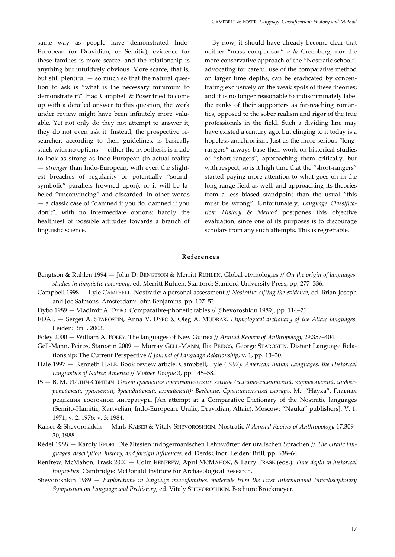same way as people have demonstrated Indo-European (or Dravidian, or Semitic); evidence for these families is more scarce, and the relationship is anything but intuitively obvious. More scarce, that is, but still plentiful  $-$  so much so that the natural question to ask is "what is the necessary minimum to demonstrate it?" Had Campbell & Poser tried to come up with a detailed answer to this question, the work under review might have been infinitely more valuable. Yet not only do they not attempt to answer it, they do not even ask it. Instead, the prospective researcher, according to their guidelines, is basically stuck with no options — either the hypothesis is made to look as strong as Indo-European (in actual reality — stronger than Indo-European, with even the slightest breaches of regularity or potentially "soundsymbolic" parallels frowned upon), or it will be labeled "unconvincing" and discarded. In other words — a classic case of "damned if you do, damned if you don't", with no intermediate options; hardly the healthiest of possible attitudes towards a branch of linguistic science.

By now, it should have already become clear that neither "mass comparison" à la Greenberg, nor the more conservative approach of the "Nostratic school", advocating for careful use of the comparative method on larger time depths, can be eradicated by concentrating exclusively on the weak spots of these theories; and it is no longer reasonable to indiscriminately label the ranks of their supporters as far-reaching romantics, opposed to the sober realism and rigor of the true professionals in the field. Such a dividing line may have existed a century ago, but clinging to it today is a hopeless anachronism. Just as the more serious "longrangers" always base their work on historical studies of "short-rangers", approaching them critically, but with respect, so is it high time that the "short-rangers" started paying more attention to what goes on in the long-range field as well, and approaching its theories from a less biased standpoint than the usual "this must be wrong". Unfortunately, Language Classification: History & Method postpones this objective evaluation, since one of its purposes is to discourage scholars from any such attempts. This is regrettable.

## References

- Bengtson & Ruhlen 1994 John D. BENGTSON & Merritt RUHLEN. Global etymologies // On the origin of languages: studies in linguistic taxonomy, ed. Merritt Ruhlen. Stanford: Stanford University Press, pp. 277–336.
- Campbell 1998 Lyle CAMPBELL. Nostratic: a personal assessment // Nostratic: sifting the evidence, ed. Brian Joseph and Joe Salmons. Amsterdam: John Benjamins, pp. 107–52.
- Dybo 1989 Vladimir A. DYBO. Comparative-phonetic tables // [Shevoroshkin 1989], pp. 114–21.
- EDAL Sergei A. STAROSTIN, Anna V. DYBO & Oleg A. MUDRAK. Etymological dictionary of the Altaic languages. Leiden: Brill, 2003.
- Foley 2000 William A. FOLEY. The languages of New Guinea // Annual Review of Anthropology 29.357–404.
- Gell-Mann, Peiros, Starostin 2009 Murray GELL-MANN, Ilia PEIROS, George STAROSTIN. Distant Language Relationship: The Current Perspective // Journal of Language Relationship, v. 1, pp. 13–30.
- Hale 1997 Kenneth HALE. Book review article: Campbell, Lyle (1997). American Indian Languages: the Historical Linguistics of Native America // Mother Tongue 3, pp. 145–58.
- IS В. М. ИЛЛИЧ-СВИТЫЧ. Опыт сравнения ностратических языков (семито-хамитский, картвельский, индоевропейский, уральский, дравидийский, алтайский): Введение. Сравнительный словарь. М.: "Наука", Главная редакция восточной литературы [An attempt at a Comparative Dictionary of the Nostratic languages (Semito-Hamitic, Kartvelian, Indo-European, Uralic, Dravidian, Altaic). Moscow: "Nauka" publishers]. V. 1: 1971; v. 2: 1976; v. 3: 1984.
- Kaiser & Shevoroshkin Mark KAISER & Vitaly SHEVOROSHKIN. Nostratic // Annual Review of Anthropology 17.309– 30, 1988.
- Rédei 1988 Károly RÉDEI. Die ältesten indogermanischen Lehnwörter der uralischen Sprachen // The Uralic languages: description, history, and foreign influences, ed. Denis Sinor. Leiden: Brill, pp. 638–64.
- Renfrew, McMahon, Trask 2000 Colin RENFREW, April MCMAHON, & Larry TRASK (eds.). Time depth in historical linguistics. Cambridge: McDonald Institute for Archaeological Research.
- Shevoroshkin 1989 Explorations in language macrofamilies: materials from the First International Interdisciplinary Symposium on Language and Prehistory, ed. Vitaly SHEVOROSHKIN. Bochum: Brockmeyer.